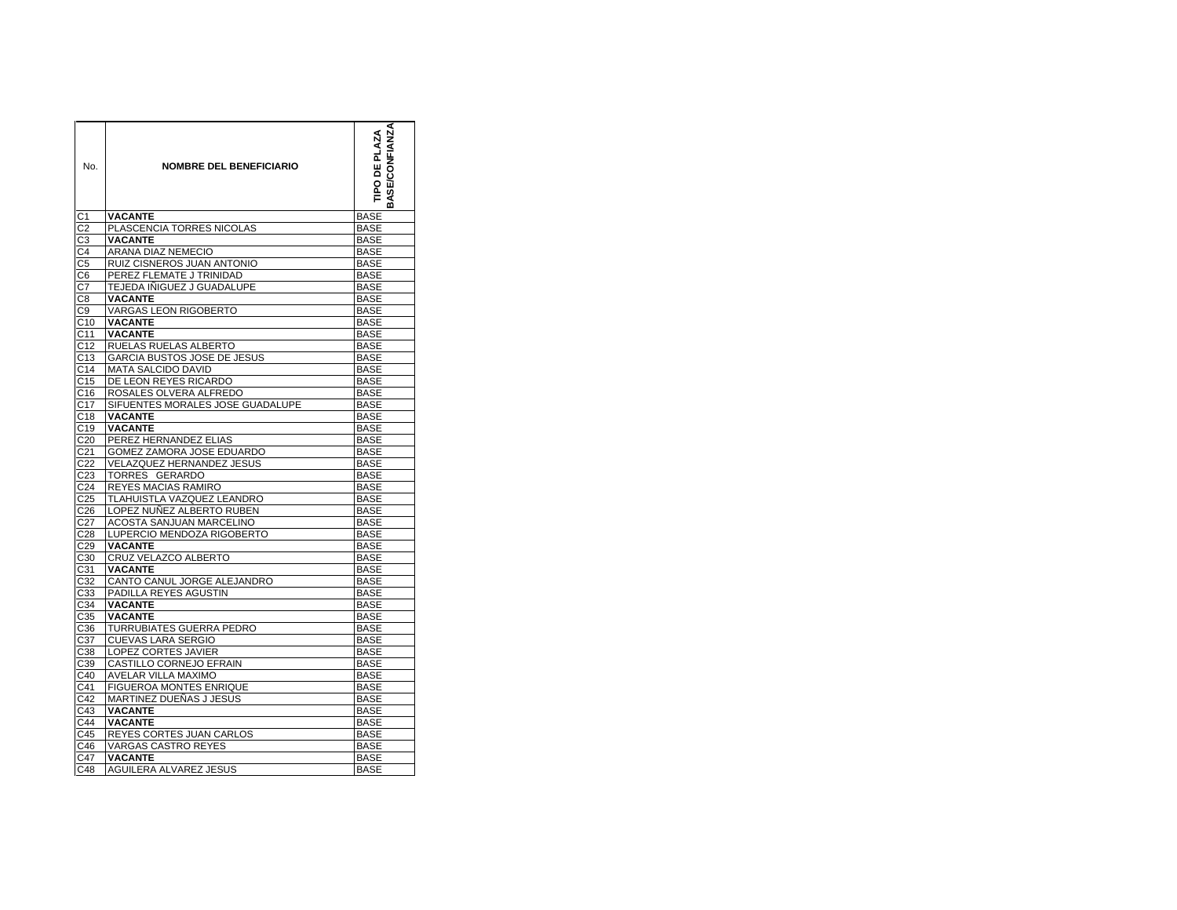| No.              | <b>NOMBRE DEL BENEFICIARIO</b>   | <b>ASE/CONFIANZA</b><br><b>TIPO DE PLAZA</b><br>m |  |
|------------------|----------------------------------|---------------------------------------------------|--|
| C <sub>1</sub>   | <b>VACANTE</b>                   | <b>BASE</b>                                       |  |
| C <sub>2</sub>   | PLASCENCIA TORRES NICOLAS        | <b>BASE</b>                                       |  |
| C <sub>3</sub>   | <b>VACANTE</b>                   | <b>BASE</b>                                       |  |
| C <sub>4</sub>   | ARANA DIAZ NEMECIO               | <b>BASE</b>                                       |  |
| C <sub>5</sub>   | RUIZ CISNEROS JUAN ANTONIO       | <b>BASE</b>                                       |  |
| C <sub>6</sub>   | PEREZ FLEMATE J TRINIDAD         | <b>BASE</b>                                       |  |
| C7               | TEJEDA IÑIGUEZ J GUADALUPE       | <b>BASE</b>                                       |  |
| C <sub>8</sub>   | <b>VACANTE</b>                   | <b>BASE</b>                                       |  |
| C <sub>9</sub>   | VARGAS LEON RIGOBERTO            | <b>BASE</b>                                       |  |
| C10              | <b>VACANTE</b>                   | BASE                                              |  |
| C <sub>11</sub>  | <b>VACANTE</b>                   | <b>BASE</b>                                       |  |
| C <sub>12</sub>  | RUELAS RUELAS ALBERTO            | <b>BASE</b>                                       |  |
| C <sub>13</sub>  | GARCIA BUSTOS JOSE DE JESUS      | <b>BASE</b>                                       |  |
| C <sub>14</sub>  | <b>MATA SALCIDO DAVID</b>        | <b>BASE</b>                                       |  |
| C <sub>15</sub>  | DE LEON REYES RICARDO            | <b>BASE</b>                                       |  |
| C16              | ROSALES OLVERA ALFREDO           | <b>BASE</b>                                       |  |
| C <sub>17</sub>  | SIFUENTES MORALES JOSE GUADALUPE | <b>BASE</b>                                       |  |
| C <sub>18</sub>  | <b>VACANTE</b>                   | <b>BASE</b>                                       |  |
| C <sub>19</sub>  | <b>VACANTE</b>                   | <b>BASE</b>                                       |  |
| C <sub>20</sub>  | PEREZ HERNANDEZ ELIAS            | <b>BASE</b>                                       |  |
| C <sub>21</sub>  | GOMEZ ZAMORA JOSE EDUARDO        | <b>BASE</b>                                       |  |
| C <sub>22</sub>  | <b>VELAZQUEZ HERNANDEZ JESUS</b> | BASE                                              |  |
| C <sub>23</sub>  | TORRES GERARDO                   | <b>BASE</b>                                       |  |
| C <sub>24</sub>  | REYES MACIAS RAMIRO              | BASE                                              |  |
| C <sub>25</sub>  | TLAHUISTLA VAZQUEZ LEANDRO       | <b>BASE</b>                                       |  |
| C <sub>26</sub>  | LOPEZ NUÑEZ ALBERTO RUBEN        | <b>BASE</b>                                       |  |
| C <sub>27</sub>  | ACOSTA SANJUAN MARCELINO         | <b>BASE</b>                                       |  |
| C28              | LUPERCIO MENDOZA RIGOBERTO       | <b>BASE</b>                                       |  |
| C <sub>29</sub>  | <b>VACANTE</b>                   | <b>BASE</b>                                       |  |
| C <sub>30</sub>  | CRUZ VELAZCO ALBERTO             | <b>BASE</b>                                       |  |
| $\overline{C}31$ | <b>VACANTE</b>                   | <b>BASE</b>                                       |  |
| C <sub>32</sub>  | CANTO CANUL JORGE ALEJANDRO      | <b>BASE</b>                                       |  |
| C <sub>3</sub> 3 | PADILLA REYES AGUSTIN            | <b>BASE</b>                                       |  |
| C34              | <b>VACANTE</b>                   | <b>BASE</b>                                       |  |
| C <sub>35</sub>  | <b>VACANTE</b>                   | <b>BASE</b>                                       |  |
| C <sub>36</sub>  | TURRUBIATES GUERRA PEDRO         | <b>BASE</b>                                       |  |
| C <sub>37</sub>  | CUEVAS LARA SERGIO               | <b>BASE</b>                                       |  |
| C <sub>38</sub>  | LOPEZ CORTES JAVIER              | <b>BASE</b>                                       |  |
| C39              | CASTILLO CORNEJO EFRAIN          | <b>BASE</b>                                       |  |
| C40              | <b>AVELAR VILLA MAXIMO</b>       | <b>BASE</b>                                       |  |
| C <sub>41</sub>  | FIGUEROA MONTES ENRIQUE          | <b>BASE</b>                                       |  |
| C42              | MARTINEZ DUEÑAS J JESUS          | <b>BASE</b>                                       |  |
| C43              | <b>VACANTE</b>                   | <b>BASE</b>                                       |  |
| C44              | <b>VACANTE</b>                   | <b>BASE</b>                                       |  |
| C45              | REYES CORTES JUAN CARLOS         | <b>BASE</b>                                       |  |
| C46              | <b>VARGAS CASTRO REYES</b>       | <b>BASE</b>                                       |  |
| C47              | <b>VACANTE</b>                   | <b>BASE</b>                                       |  |
| C48              | AGUILERA ALVAREZ JESUS           | <b>BASE</b>                                       |  |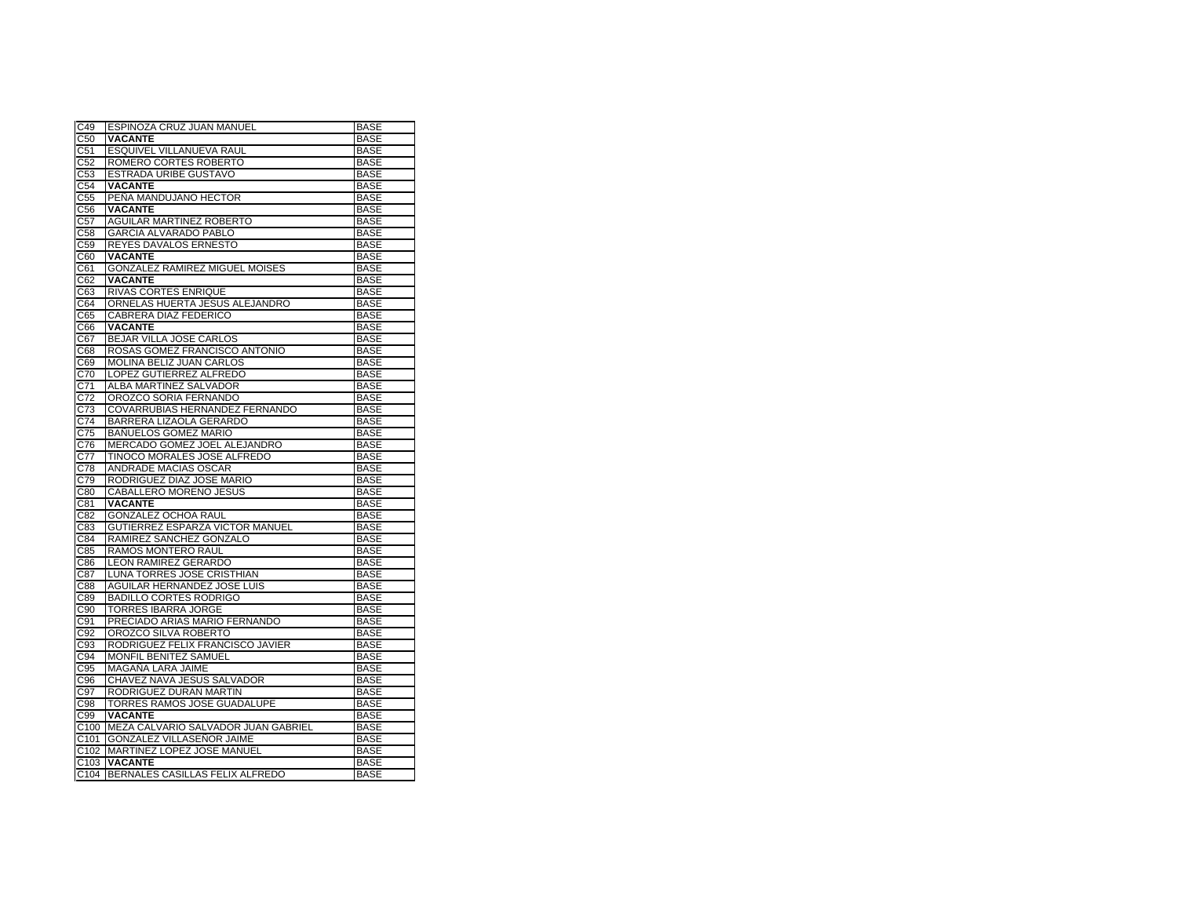| C49              | ESPINOZA CRUZ JUAN MANUEL           | <b>BASE</b> |
|------------------|-------------------------------------|-------------|
| C <sub>50</sub>  | VACANTE                             | <b>BASE</b> |
| C <sub>51</sub>  | ESQUIVEL VILLANUEVA RAUL            | <b>BASE</b> |
| C <sub>52</sub>  | ROMERO CORTES ROBERTO               | BASE        |
| C <sub>53</sub>  | ESTRADA URIBE GUSTAVO               | <b>BASE</b> |
| C <sub>54</sub>  | <b>VACANTE</b>                      | <b>BASE</b> |
| C <sub>55</sub>  | PENA MANDUJANO HECTOR               | BASE        |
| C56              | <b>VACANTE</b>                      | <b>BASE</b> |
| C57              | AGUILAR MARTINEZ ROBERTO            | <b>BASE</b> |
| C58              | <b>GARCIA ALVARADO PABLO</b>        | <b>BASE</b> |
| C59              | REYES DAVALOS ERNESTO               | <b>BASE</b> |
| C60              | <b>VACANTE</b>                      | <b>BASE</b> |
| C61              | GONZALEZ RAMIREZ MIGUEL MOISES      | <b>BASE</b> |
| C62              | <b>VACANTE</b>                      | <b>BASE</b> |
| C63              | RIVAS CORTES ENRIQUE                | <b>BASE</b> |
| C64              | ORNELAS HUERTA JESUS ALEJANDRO      | BASE        |
| C65              | CABRERA DIAZ FEDERICO               | <b>BASE</b> |
| C66              | <b>VACANTE</b>                      | <b>BASE</b> |
| C67              | BEJAR VILLA JOSE CARLOS             | <b>BASE</b> |
| C68              | ROSAS GOMEZ FRANCISCO ANTONIO       | <b>BASE</b> |
| C69              | MOLINA BELIZ JUAN CARLOS            | <b>BASE</b> |
| C70              | LOPEZ GUTIERREZ ALFREDO             | <b>BASE</b> |
| C71              | ALBA MARTINEZ SALVADOR              | <b>BASE</b> |
| C72              | OROZCO SORIA FERNANDO               | <b>BASE</b> |
| C73              | COVARRUBIAS HERNANDEZ FERNANDO      | <b>BASE</b> |
| C74              | BARRERA LIZAOLA GERARDO             | <b>BASE</b> |
| C75              | <b>BANUELOS GOMEZ MARIO</b>         | <b>BASE</b> |
| C76              | MERCADO GOMEZ JOEL ALEJANDRO        | <b>BASE</b> |
| C77              | TINOCO MORALES JOSE ALFREDO         | <b>BASE</b> |
| C78              | <b>ANDRADE MACIAS OSCAR</b>         | <b>BASE</b> |
| C79              | RODRIGUEZ DIAZ JOSE MARIO           | <b>BASE</b> |
| C80              | CABALLERO MORENO JESUS              | <b>BASE</b> |
| C81              | <b>VACANTE</b>                      | <b>BASE</b> |
| C82              | <b>GONZALEZ OCHOA RAUL</b>          | <b>BASE</b> |
| C83              | GUTIERREZ ESPARZA VICTOR MANUEL     | <b>BASE</b> |
| C84              | RAMIREZ SANCHEZ GONZALO             | <b>BASE</b> |
| C85              | <b>RAMOS MONTERO RAUL</b>           | <b>BASE</b> |
| $\overline{C}86$ | <b>LEON RAMIREZ GERARDO</b>         | <b>BASE</b> |
| C87              | LUNA TORRES JOSE CRISTHIAN          | <b>BASE</b> |
| C88              | AGUILAR HERNANDEZ JOSE LUIS         | <b>BASE</b> |
|                  | <b>BADILLO CORTES RODRIGO</b>       | <b>BASE</b> |
| C89              |                                     | <b>BASE</b> |
| C90<br>C91       | TORRES IBARRA JORGE                 | <b>BASE</b> |
| C <sub>92</sub>  | PRECIADO ARIAS MARIO FERNANDO       | <b>BASE</b> |
|                  | OROZCO SILVA ROBERTO                |             |
| C93              | RODRIGUEZ FELIX FRANCISCO JAVIER    | <b>BASE</b> |
| C94              | MONFIL BENITEZ SAMUEL               | <b>BASE</b> |
| C95              | MAGAÑA LARA JAIME                   | <b>BASE</b> |
| C96              | CHAVEZ NAVA JESUS SALVADOR          | <b>BASE</b> |
| C97              | RODRIGUEZ DURAN MARTIN              | <b>BASE</b> |
| C98              | TORRES RAMOS JOSE GUADALUPE         | <b>BASE</b> |
| C99              | <b>VACANTE</b>                      | <b>BASE</b> |
| C100             | MEZA CALVARIO SALVADOR JUAN GABRIEL | <b>BASE</b> |
| C <sub>101</sub> | GONZALEZ VILLASEÑOR JAIME           | <b>BASE</b> |
| C <sub>102</sub> | MARTINEZ LOPEZ JOSE MANUEL          | <b>BASE</b> |
| C <sub>103</sub> | <b>VACANTE</b>                      | <b>BASE</b> |
| C104             | BERNALES CASILLAS FELIX ALFREDO     | <b>BASE</b> |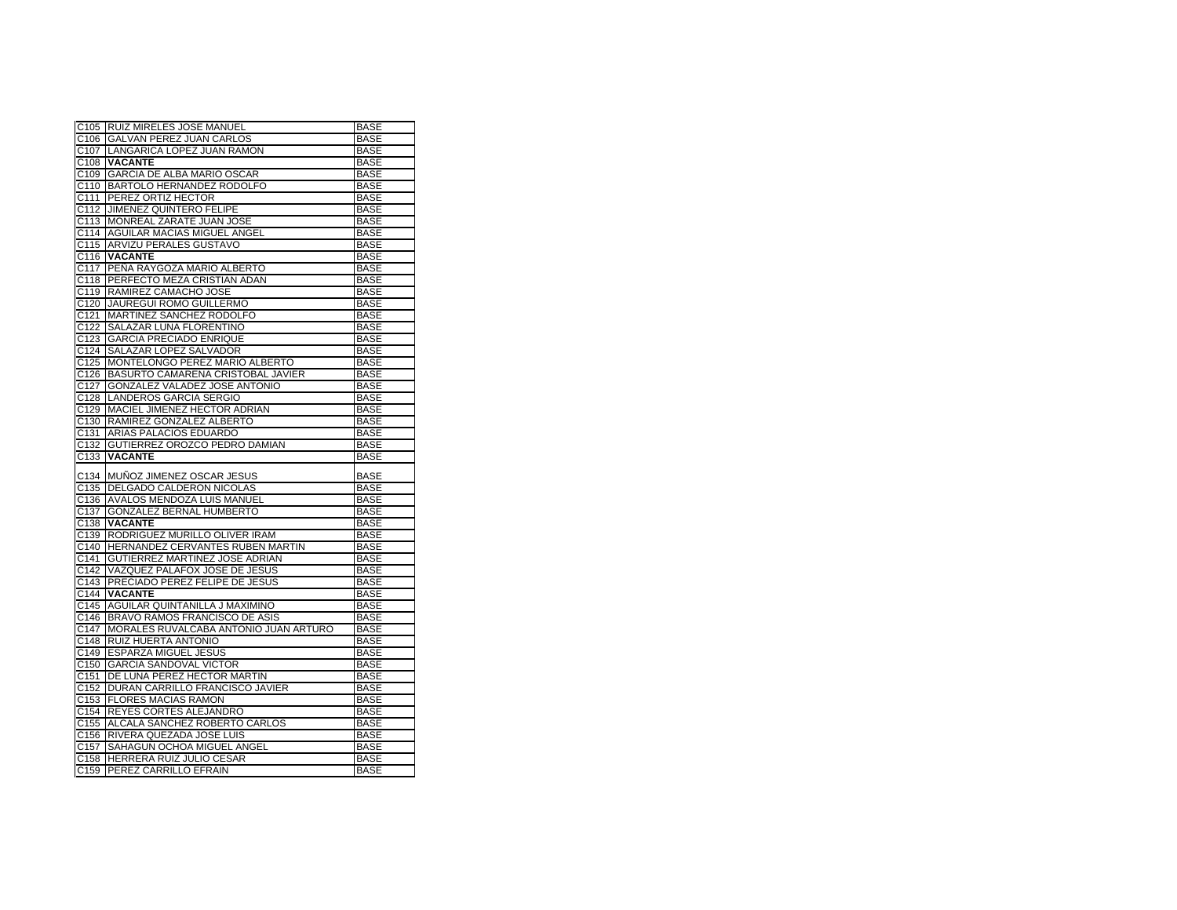| C105              | RUIZ MIRELES JOSE MANUEL                          | <b>BASE</b>                |
|-------------------|---------------------------------------------------|----------------------------|
| C106              | GALVAN PEREZ JUAN CARLOS                          | <b>BASE</b>                |
| C <sub>107</sub>  | LANGARICA LOPEZ JUAN RAMON                        | <b>BASE</b>                |
| C108              | <b>VACANTE</b>                                    | <b>BASE</b>                |
| C <sub>109</sub>  | GARCIA DE ALBA MARIO OSCAR                        | BASE                       |
| C <sub>110</sub>  | BARTOLO HERNANDEZ RODOLFO                         | <b>BASE</b>                |
| C <sub>111</sub>  | PEREZ ORTIZ HECTOR                                | <b>BASE</b>                |
| C112              | JIMENEZ QUINTERO FELIPE                           | <b>BASE</b>                |
| C <sub>113</sub>  | MONREAL ZARATE JUAN JOSE                          | <b>BASE</b>                |
| C114              | AGUILAR MACIAS MIGUEL ANGEL                       | <b>BASE</b>                |
| C115              | ARVIZU PERALES GUSTAVO                            | <b>BASE</b>                |
| C116              | <b>VACANTE</b>                                    | <b>BASE</b>                |
| C117              | PEÑA RAYGOZA MARIO ALBERTO                        | <b>BASE</b>                |
| C118              | PERFECTO MEZA CRISTIAN ADAN                       | <b>BASE</b>                |
| C <sub>119</sub>  | RAMIREZ CAMACHO JOSE                              | <b>BASE</b>                |
| C <sub>120</sub>  | JAUREGUI ROMO GUILLERMO                           | <b>BASE</b>                |
| C <sub>121</sub>  | MARTINEZ SANCHEZ RODOLFO                          | <b>BASE</b>                |
| C122              | SALAZAR LUNA FLORENTINO                           | <b>BASE</b>                |
| C <sub>123</sub>  | <b>GARCIA PRECIADO ENRIQUE</b>                    | <b>BASE</b>                |
| C <sub>124</sub>  | SALAZAR LOPEZ SALVADOR                            | <b>BASE</b>                |
| C125              | MONTELONGO PEREZ MARIO ALBERTO                    | <b>BASE</b>                |
| C126              | BASURTO CAMARENA CRISTOBAL JAVIER                 | <b>BASE</b>                |
| C <sub>127</sub>  | GONZALEZ VALADEZ JOSE ANTONIO                     | <b>BASE</b>                |
|                   |                                                   |                            |
| C128              | LANDEROS GARCIA SERGIO                            | <b>BASE</b>                |
| C129              | MACIEL JIMENEZ HECTOR ADRIAN                      | <b>BASE</b>                |
| C <sub>130</sub>  | RAMIREZ GONZALEZ ALBERTO                          | <b>BASE</b>                |
| C <sub>131</sub>  | ARIAS PALACIOS EDUARDO                            | <b>BASE</b>                |
| C132              | GUTIERREZ OROZCO PEDRO DAMIAN                     | <b>BASE</b>                |
|                   |                                                   |                            |
| C <sub>133</sub>  | <b>VACANTE</b>                                    | <b>BASE</b>                |
|                   |                                                   |                            |
| C134              | MUÑOZ JIMENEZ OSCAR JESUS                         | BASE                       |
| C <sub>135</sub>  | <b>DELGADO CALDERON NICOLAS</b>                   | <b>BASE</b>                |
| C <sub>136</sub>  | AVALOS MENDOZA LUIS MANUEL                        | <b>BASE</b>                |
| C <sub>137</sub>  | GONZALEZ BERNAL HUMBERTO                          | <b>BASE</b>                |
| C138              | <b>VACANTE</b>                                    | <b>BASE</b>                |
| C139              | RODRIGUEZ MURILLO OLIVER IRAM                     | <b>BASE</b>                |
| C140              | HERNANDEZ CERVANTES RUBEN MARTIN                  | <b>BASE</b>                |
| C141              | GUTIERREZ MARTINEZ JOSE ADRIAN                    | <b>BASE</b>                |
| C142              | VAZQUEZ PALAFOX JOSE DE JESUS                     | <b>BASE</b>                |
| $\overline{C143}$ | PRECIADO PEREZ FELIPE DE JESUS                    | BASE                       |
| C144              | <b>VACANTE</b>                                    | <b>BASE</b>                |
| C <sub>145</sub>  | AGUILAR QUINTANILLA J MAXIMINO                    | <b>BASE</b>                |
| C146              | <b>BRAVO RAMOS FRANCISCO DE ASIS</b>              | <b>BASE</b>                |
| C147              | MORALES RUVALCABA ANTONIO JUAN ARTURO             | <b>BASE</b>                |
| C148              | RUIZ HUERTA ANTONIO                               | <b>BASE</b>                |
| C149              | ESPARZA MIGUEL JESUS                              | <b>BASE</b>                |
| C <sub>150</sub>  | <b>GARCIA SANDOVAL VICTOR</b>                     | <b>BASE</b>                |
| C151              | DE LUNA PEREZ HECTOR MARTIN                       | <b>BASE</b>                |
| C152              | DURAN CARRILLO FRANCISCO JAVIER                   | <b>BASE</b>                |
| C153              | <b>FLORES MACIAS RAMON</b>                        | <b>BASE</b>                |
| C154              | REYES CORTES ALEJANDRO                            | <b>BASE</b>                |
| C <sub>155</sub>  | ALCALA SANCHEZ ROBERTO CARLOS                     | <b>BASE</b>                |
| C <sub>156</sub>  | RIVERA QUEZADA JOSE LUIS                          | <b>BASE</b>                |
| C <sub>157</sub>  | SAHAGUN OCHOA MIGUEL ANGEL                        | <b>BASE</b>                |
| C158<br>C159      | HERRERA RUIZ JULIO CESAR<br>PEREZ CARRILLO EFRAIN | <b>BASE</b><br><b>BASE</b> |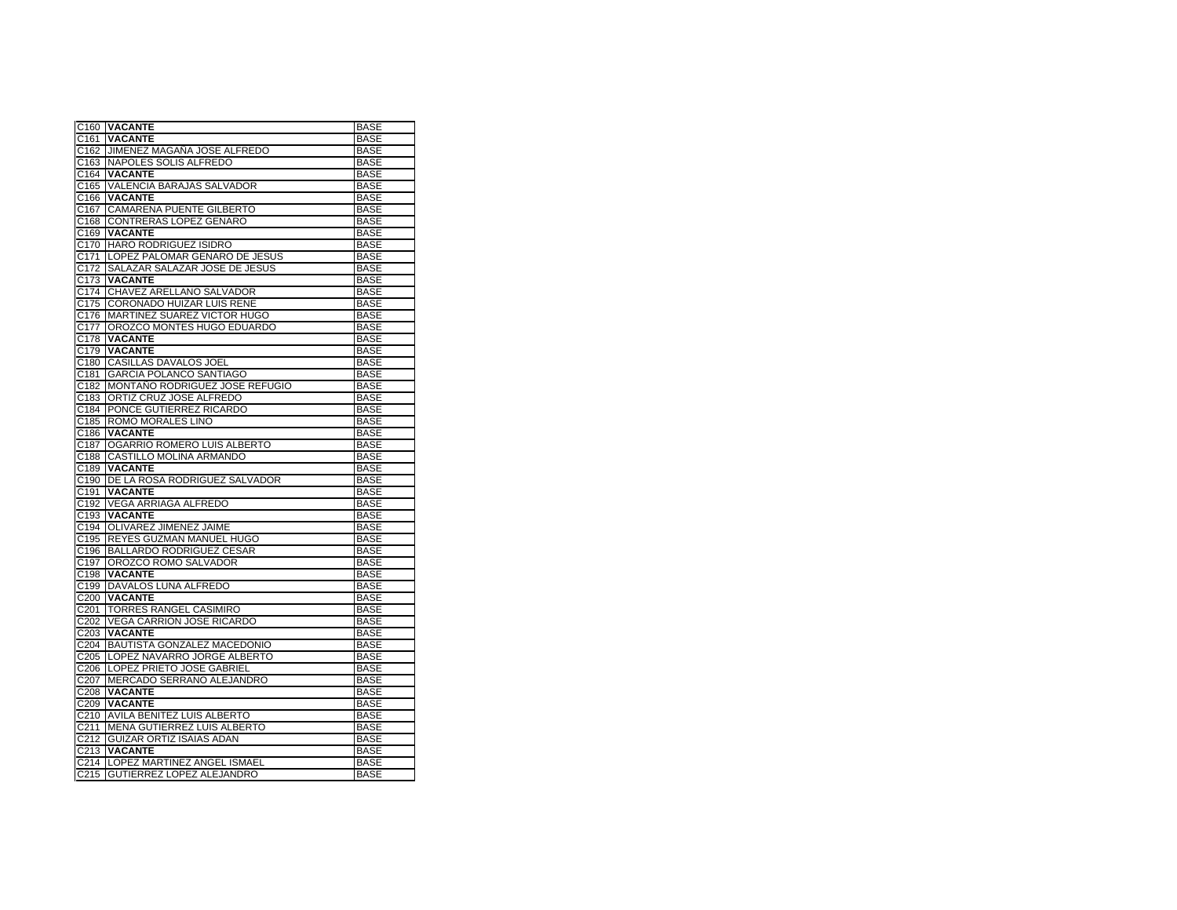| C160             | <b>VACANTE</b>                     | <b>BASE</b> |
|------------------|------------------------------------|-------------|
| C <sub>161</sub> | <b>VACANTE</b>                     | <b>BASE</b> |
| C162             | JIMENEZ MAGANA JOSE ALFREDO        | <b>BASE</b> |
| C <sub>163</sub> | NAPOLES SOLIS ALFREDO              | <b>BASE</b> |
| C164             | <b>VACANTE</b>                     | <b>BASE</b> |
| C165             | VALENCIA BARAJAS SALVADOR          | <b>BASE</b> |
| C166             | <b>VACANTE</b>                     | <b>BASE</b> |
| C167             | CAMARENA PUENTE GILBERTO           | <b>BASE</b> |
| C <sub>168</sub> | CONTRERAS LOPEZ GENARO             | <b>BASE</b> |
| C <sub>169</sub> | <b>VACANTE</b>                     | <b>BASE</b> |
| C170             | HARO RODRIGUEZ ISIDRO              | <b>BASE</b> |
| C <sub>171</sub> | LOPEZ PALOMAR GENARO DE JESUS      | <b>BASE</b> |
| C172             | SALAZAR SALAZAR JOSE DE JESUS      | BASE        |
| C173             | <b>VACANTE</b>                     | <b>BASE</b> |
| C174             | CHAVEZ ARELLANO SALVADOR           | <b>BASE</b> |
| C <sub>175</sub> | <b>CORONADO HUIZAR LUIS RENE</b>   | BASE        |
| C176             | MARTINEZ SUAREZ VICTOR HUGO        | <b>BASE</b> |
| C <sub>177</sub> | OROZCO MONTES HUGO EDUARDO         | <b>BASE</b> |
| C178             | <b>VACANTE</b>                     | <b>BASE</b> |
| C179             | <b>VACANTE</b>                     | <b>BASE</b> |
| C180             | CASILLAS DAVALOS JOEL              | <b>BASE</b> |
| C181             | <b>GARCIA POLANCO SANTIAGO</b>     | <b>BASE</b> |
| C <sub>182</sub> | MONTAÑO RODRIGUEZ JOSE REFUGIO     | <b>BASE</b> |
| C183             | ORTIZ CRUZ JOSE ALFREDO            | <b>BASE</b> |
| C184             | PONCE GUTIERREZ RICARDO            | <b>BASE</b> |
| C185             | ROMO MORALES LINO                  | <b>BASE</b> |
| C186             | <b>VACANTE</b>                     | <b>BASE</b> |
| C <sub>187</sub> | OGARRIO ROMERO LUIS ALBERTO        | <b>BASE</b> |
| C188             | CASTILLO MOLINA ARMANDO            | <b>BASE</b> |
| C189             | <b>VACANTE</b>                     | <b>BASE</b> |
| C <sub>190</sub> | DE LA ROSA RODRIGUEZ SALVADOR      | <b>BASE</b> |
| C191             | <b>VACANTE</b>                     | <b>BASE</b> |
| C <sub>192</sub> | VEGA ARRIAGA ALFREDO               | <b>BASE</b> |
| C193             | <b>VACANTE</b>                     | <b>BASE</b> |
| C <sub>194</sub> | OLIVAREZ JIMENEZ JAIME             | <b>BASE</b> |
| C195             | REYES GUZMAN MANUEL HUGO           | <b>BASE</b> |
| C196             | <b>BALLARDO RODRIGUEZ CESAR</b>    | <b>BASE</b> |
| C <sub>197</sub> | OROZCO ROMO SALVADOR               | <b>BASE</b> |
| C198             | <b>VACANTE</b>                     | <b>BASE</b> |
| C <sub>199</sub> | DAVALOS LUNA ALFREDO               | <b>BASE</b> |
| C <sub>200</sub> | <b>VACANTE</b>                     | <b>BASE</b> |
| C201             | TORRES RANGEL CASIMIRO             | <b>BASE</b> |
| C <sub>202</sub> | VEGA CARRION JOSE RICARDO          | <b>BASE</b> |
| C <sub>203</sub> | <b>VACANTE</b>                     | <b>BASE</b> |
| C <sub>204</sub> | <b>BAUTISTA GONZALEZ MACEDONIO</b> | <b>BASE</b> |
| C <sub>205</sub> | LOPEZ NAVARRO JORGE ALBERTO        | <b>BASE</b> |
| C <sub>206</sub> | LOPEZ PRIETO JOSE GABRIEL          | <b>BASE</b> |
| C <sub>207</sub> | MERCADO SERRANO ALEJANDRO          | <b>BASE</b> |
| C <sub>208</sub> | <b>VACANTE</b>                     | <b>BASE</b> |
| C <sub>209</sub> | <b>VACANTE</b>                     | <b>BASE</b> |
| C <sub>210</sub> | AVILA BENITEZ LUIS ALBERTO         | <b>BASE</b> |
| C <sub>211</sub> | MENA GUTIERREZ LUIS ALBERTO        | <b>BASE</b> |
| C212             | GUIZAR ORTIZ ISAIAS ADAN           | <b>BASE</b> |
| C <sub>213</sub> | <b>VACANTE</b>                     | <b>BASE</b> |
| C214             | LOPEZ MARTINEZ ANGEL ISMAEL        | <b>BASE</b> |
| C215             | GUTIERREZ LOPEZ ALEJANDRO          | <b>BASE</b> |
|                  |                                    |             |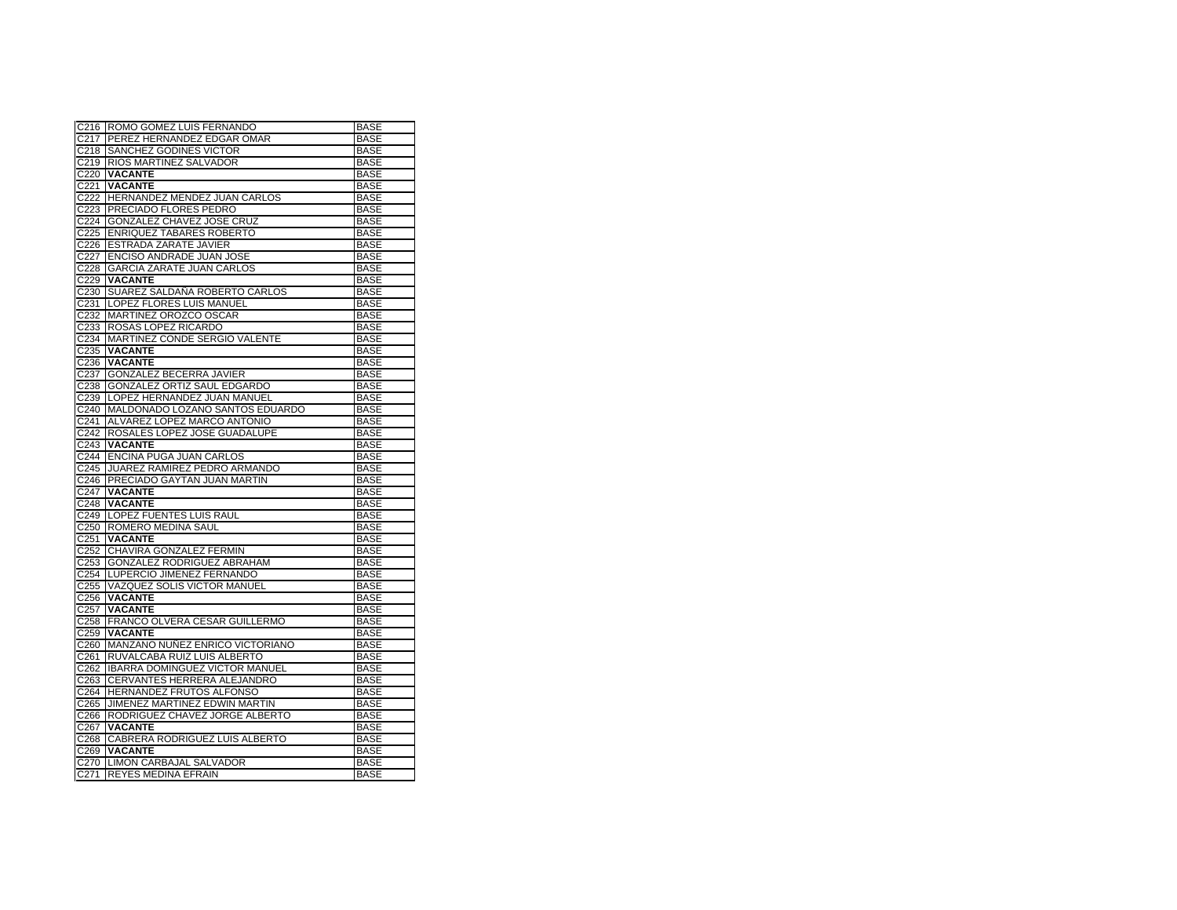|                  | C216 ROMO GOMEZ LUIS FERNANDO         | <b>BASE</b> |
|------------------|---------------------------------------|-------------|
| C217             | PEREZ HERNANDEZ EDGAR OMAR            | <b>BASE</b> |
| C218             | <b>SANCHEZ GODINES VICTOR</b>         | <b>BASE</b> |
| C219             | <b>RIOS MARTINEZ SALVADOR</b>         | <b>BASE</b> |
| C220             | <b>VACANTE</b>                        | <b>BASE</b> |
| C <sub>221</sub> | <b>VACANTE</b>                        | <b>BASE</b> |
| C <sub>222</sub> | HERNANDEZ MENDEZ JUAN CARLOS          | <b>BASE</b> |
| C223             | PRECIADO FLORES PEDRO                 | <b>BASE</b> |
| C224             | GONZALEZ CHAVEZ JOSE CRUZ             | <b>BASE</b> |
| C225             | <b>ENRIQUEZ TABARES ROBERTO</b>       | <b>BASE</b> |
| C226             | ESTRADA ZARATE JAVIER                 | <b>BASE</b> |
| C227             | ENCISO ANDRADE JUAN JOSE              | <b>BASE</b> |
| C228             | <b>GARCIA ZARATE JUAN CARLOS</b>      | <b>BASE</b> |
| C229             | VACANTE                               | <b>BASE</b> |
| C <sub>230</sub> | SUAREZ SALDAÑA ROBERTO CARLOS         | <b>BASE</b> |
| C231             | LOPEZ FLORES LUIS MANUEL              | <b>BASE</b> |
| C232             | MARTINEZ OROZCO OSCAR                 | <b>BASE</b> |
| C233             | ROSAS LOPEZ RICARDO                   | <b>BASE</b> |
| C234             | MARTINEZ CONDE SERGIO VALENTE         | <b>BASE</b> |
| C235             | <b>VACANTE</b>                        | <b>BASE</b> |
| C236             | <b>VACANTE</b>                        | <b>BASE</b> |
| C <sub>237</sub> | GONZALEZ BECERRA JAVIER               | <b>BASE</b> |
| C238             | GONZALEZ ORTIZ SAUL EDGARDO           | <b>BASE</b> |
| C239             | LOPEZ HERNANDEZ JUAN MANUEL           | <b>BASE</b> |
| C240             | MALDONADO LOZANO SANTOS EDUARDO       | <b>BASE</b> |
| C241             | ALVAREZ LOPEZ MARCO ANTONIO           | <b>BASE</b> |
| C242             | ROSALES LOPEZ JOSE GUADALUPE          | <b>BASE</b> |
| C243             | <b>VACANTE</b>                        | <b>BASE</b> |
| C <sub>244</sub> | ENCINA PUGA JUAN CARLOS               | <b>BASE</b> |
| C245             | JUAREZ RAMIREZ PEDRO ARMANDO          | <b>BASE</b> |
| C246             | <b>PRECIADO GAYTAN JUAN MARTIN</b>    | <b>BASE</b> |
| C247             | <b>VACANTE</b>                        | <b>BASE</b> |
| C248             | <b>VACANTE</b>                        | <b>BASE</b> |
| C249             | LOPEZ FUENTES LUIS RAUL               | <b>BASE</b> |
| C <sub>250</sub> | ROMERO MEDINA SAUL                    | <b>BASE</b> |
| C <sub>251</sub> | <b>VACANTE</b>                        | <b>BASE</b> |
| C252             | CHAVIRA GONZALEZ FERMIN               | <b>BASE</b> |
| C <sub>253</sub> | GONZALEZ RODRIGUEZ ABRAHAM            | <b>BASE</b> |
| C254             | LUPERCIO JIMENEZ FERNANDO             | <b>BASE</b> |
| C255             | VAZQUEZ SOLIS VICTOR MANUEL           | <b>BASE</b> |
| C <sub>256</sub> | <b>VACANTE</b>                        | <b>BASE</b> |
| C257             | <b>VACANTE</b>                        | <b>BASE</b> |
| C258             | FRANCO OLVERA CESAR GUILLERMO         | <b>BASE</b> |
| C259             | <b>VACANTE</b>                        | <b>BASE</b> |
| C260             | MANZANO NUÑEZ ENRICO VICTORIANO       | <b>BASE</b> |
| C261             | RUVALCABA RUIZ LUIS ALBERTO           | <b>BASE</b> |
| C262             | <b>IBARRA DOMINGUEZ VICTOR MANUEL</b> | <b>BASE</b> |
| C <sub>263</sub> | CERVANTES HERRERA ALEJANDRO           | <b>BASE</b> |
| C <sub>264</sub> | <b>HERNANDEZ FRUTOS ALFONSO</b>       | <b>BASE</b> |
| C265             | JIMENEZ MARTINEZ EDWIN MARTIN         | <b>BASE</b> |
| C266             | RODRIGUEZ CHAVEZ JORGE ALBERTO        | <b>BASE</b> |
| C267             | <b>VACANTE</b>                        | <b>BASE</b> |
| C <sub>268</sub> | CABRERA RODRIGUEZ LUIS ALBERTO        | <b>BASE</b> |
| C269             | <b>VACANTE</b>                        | <b>BASE</b> |
| C270             | LIMON CARBAJAL SALVADOR               | <b>BASE</b> |
|                  | C271 REYES MEDINA EFRAIN              | <b>BASE</b> |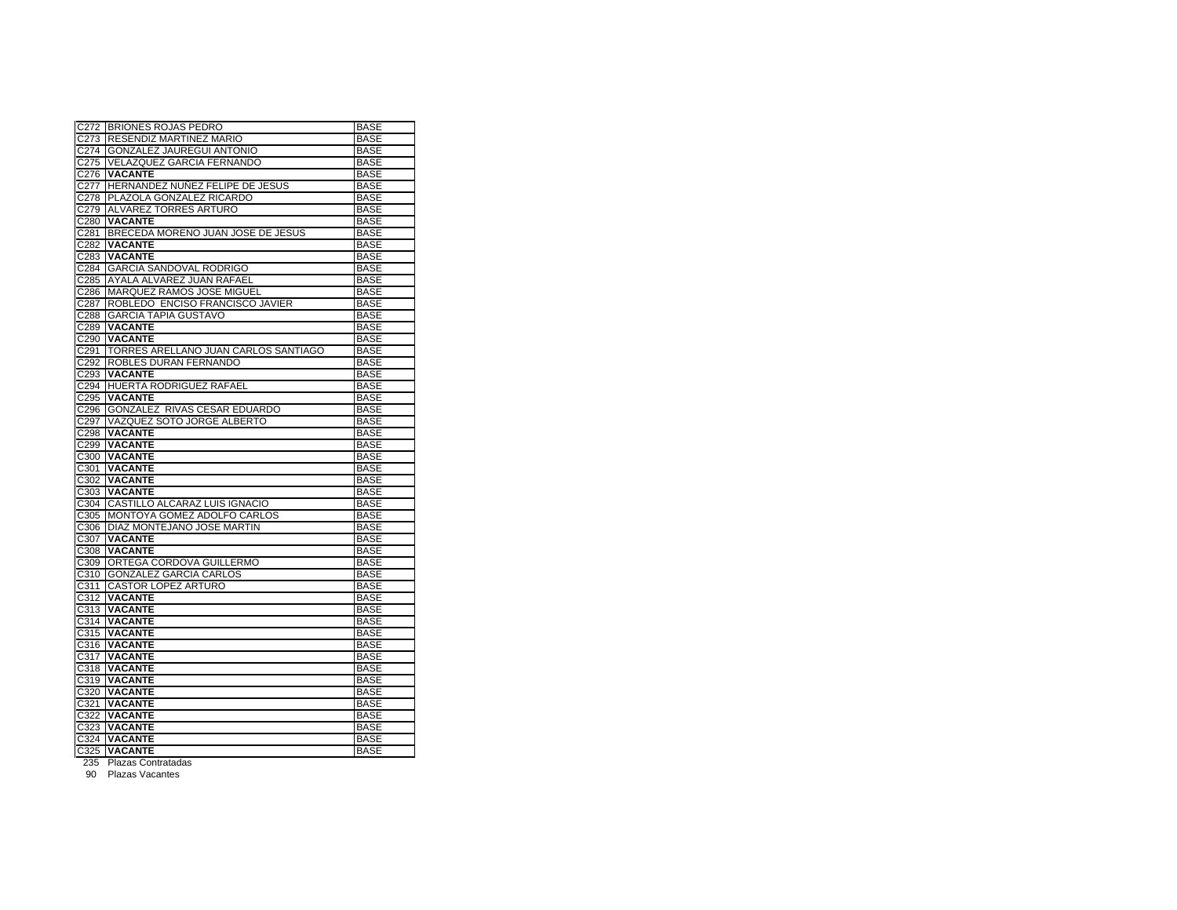| C272             | <b>BRIONES ROJAS PEDRO</b>           | <b>BASE</b> |
|------------------|--------------------------------------|-------------|
| C273             | RESENDIZ MARTINEZ MARIO              | <b>BASE</b> |
| C274             | <b>GONZALEZ JAUREGUI ANTONIO</b>     | <b>BASE</b> |
| C275             | <b>VELAZQUEZ GARCIA FERNANDO</b>     | <b>BASE</b> |
| C276             | <b>VACANTE</b>                       | <b>BASE</b> |
| C277             | HERNANDEZ NUNEZ FELIPE DE JESUS      | <b>BASE</b> |
| C278             | PLAZOLA GONZALEZ RICARDO             | <b>BASE</b> |
| C279             | ALVAREZ TORRES ARTURO                | <b>BASE</b> |
| C <sub>280</sub> | <b>VACANTE</b>                       | <b>BASE</b> |
| C281             | BRECEDA MORENO JUAN JOSE DE JESUS    | <b>BASE</b> |
| C282             | <b>VACANTE</b>                       | <b>BASE</b> |
| C283             | <b>VACANTE</b>                       | <b>BASE</b> |
| C284             | <b>GARCIA SANDOVAL RODRIGO</b>       | <b>BASE</b> |
| C285             | AYALA ALVAREZ JUAN RAFAEL            | <b>BASE</b> |
| C286             | MARQUEZ RAMOS JOSE MIGUEL            | <b>BASE</b> |
| C287             | ROBLEDO ENCISO FRANCISCO JAVIER      | <b>BASE</b> |
| C288             | <b>GARCIA TAPIA GUSTAVO</b>          | <b>BASE</b> |
| C289             | <b>VACANTE</b>                       | <b>BASE</b> |
| C290             | <b>VACANTE</b>                       | <b>BASE</b> |
| C <sub>291</sub> | TORRES ARELLANO JUAN CARLOS SANTIAGO | <b>BASE</b> |
| C292             | ROBLES DURAN FERNANDO                | <b>BASE</b> |
| C293             | <b>VACANTE</b>                       | <b>BASE</b> |
| C294             | HUERTA RODRIGUEZ RAFAEL              | <b>BASE</b> |
| C295             | <b>VACANTE</b>                       | <b>BASE</b> |
| C296             | GONZALEZ RIVAS CESAR EDUARDO         | <b>BASE</b> |
| C297             | VAZQUEZ SOTO JORGE ALBERTO           | <b>BASE</b> |
| C298             | <b>VACANTE</b>                       | <b>BASE</b> |
| C299             | <b>VACANTE</b>                       | <b>BASE</b> |
| C <sub>300</sub> | <b>VACANTE</b>                       | <b>BASE</b> |
| C301             | <b>VACANTE</b>                       | <b>BASE</b> |
| C302             | <b>VACANTE</b>                       | <b>BASE</b> |
| C303             | <b>VACANTE</b>                       | <b>BASE</b> |
| C304             | CASTILLO ALCARAZ LUIS IGNACIO        | <b>BASE</b> |
| C305             | MONTOYA GOMEZ ADOLFO CARLOS          | <b>BASE</b> |
| C306             | <b>DIAZ MONTEJANO JOSE MARTIN</b>    | <b>BASE</b> |
| C307             | <b>VACANTE</b>                       | <b>BASE</b> |
| C308             | <b>VACANTE</b>                       | <b>BASE</b> |
| C309             | ORTEGA CORDOVA GUILLERMO             | <b>BASE</b> |
| C310             | <b>GONZALEZ GARCIA CARLOS</b>        | <b>BASE</b> |
| C311             | <b>CASTOR LOPEZ ARTURO</b>           | <b>BASE</b> |
| C312             | <b>VACANTE</b>                       | <b>BASE</b> |
| C313             | <b>VACANTE</b>                       | <b>BASE</b> |
| C314             | <b>VACANTE</b>                       | <b>BASE</b> |
| C315             | <b>VACANTE</b>                       | <b>BASE</b> |
| C316             | <b>VACANTE</b>                       | <b>BASE</b> |
| C317             | <b>VACANTE</b>                       | <b>BASE</b> |
| C318             | <b>VACANTE</b>                       | <b>BASE</b> |
| C319             | <b>VACANTE</b>                       | <b>BASE</b> |
| C320             | <b>VACANTE</b>                       | <b>BASE</b> |
| C321             | <b>VACANTE</b>                       | <b>BASE</b> |
| C322             | <b>VACANTE</b>                       | <b>BASE</b> |
| C323             | <b>VACANTE</b>                       | <b>BASE</b> |
| C324             | <b>VACANTE</b>                       | <b>BASE</b> |
|                  | C325 VACANTE                         | <b>BASE</b> |
|                  |                                      |             |

235 Plazas Contratadas 90 Plazas Vacantes